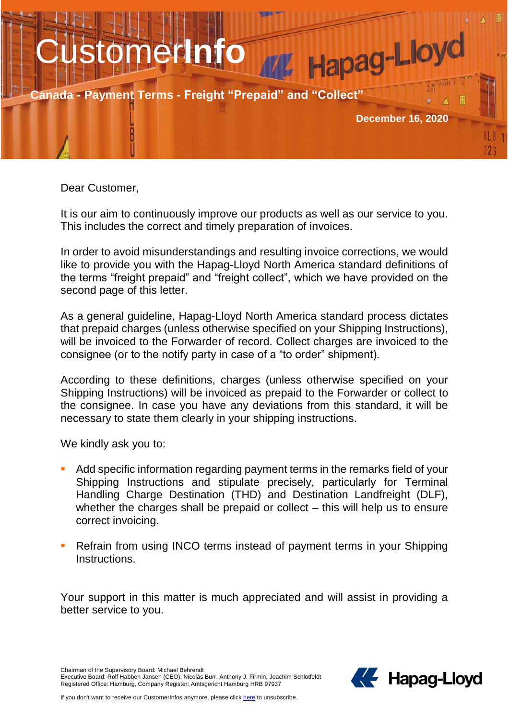

Dear Customer,

It is our aim to continuously improve our products as well as our service to you. This includes the correct and timely preparation of invoices.

In order to avoid misunderstandings and resulting invoice corrections, we would like to provide you with the Hapag-Lloyd North America standard definitions of the terms "freight prepaid" and "freight collect", which we have provided on the second page of this letter.

As a general guideline, Hapag-Lloyd North America standard process dictates that prepaid charges (unless otherwise specified on your Shipping Instructions), will be invoiced to the Forwarder of record. Collect charges are invoiced to the consignee (or to the notify party in case of a "to order" shipment).

According to these definitions, charges (unless otherwise specified on your Shipping Instructions) will be invoiced as prepaid to the Forwarder or collect to the consignee. In case you have any deviations from this standard, it will be necessary to state them clearly in your shipping instructions.

We kindly ask you to:

- Add specific information regarding payment terms in the remarks field of your Shipping Instructions and stipulate precisely, particularly for Terminal Handling Charge Destination (THD) and Destination Landfreight (DLF), whether the charges shall be prepaid or collect – this will help us to ensure correct invoicing.
- **Refrain from using INCO terms instead of payment terms in your Shipping** Instructions.

Your support in this matter is much appreciated and will assist in providing a better service to you.

Chairman of the Supervisory Board: Michael Behrendt

Executive Board: Rolf Habben Jansen (CEO), Nicolás Burr, Anthony J. Firmin, Joachim Schlotfeldt Registered Office: Hamburg, Company Register: Amtsgericht Hamburg HRB 97937

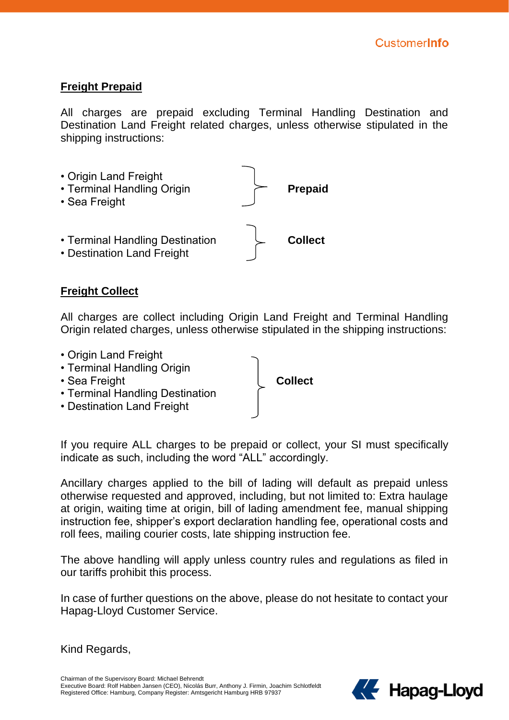## **Freight Prepaid**

All charges are prepaid excluding Terminal Handling Destination and Destination Land Freight related charges, unless otherwise stipulated in the shipping instructions:



## **Freight Collect**

All charges are collect including Origin Land Freight and Terminal Handling Origin related charges, unless otherwise stipulated in the shipping instructions:



If you require ALL charges to be prepaid or collect, your SI must specifically indicate as such, including the word "ALL" accordingly.

Ancillary charges applied to the bill of lading will default as prepaid unless otherwise requested and approved, including, but not limited to: Extra haulage at origin, waiting time at origin, bill of lading amendment fee, manual shipping instruction fee, shipper's export declaration handling fee, operational costs and roll fees, mailing courier costs, late shipping instruction fee.

The above handling will apply unless country rules and regulations as filed in our tariffs prohibit this process.

In case of further questions on the above, please do not hesitate to contact your Hapag-Lloyd Customer Service.

Kind Regards,